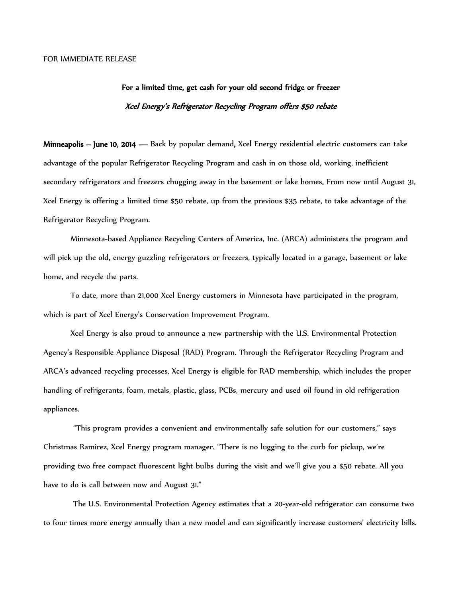## For a limited time, get cash for your old second fridge or freezer Xcel Energy's Refrigerator Recycling Program offers \$50 rebate

Minneapolis – June 10, 2014 — Back by popular demand, Xcel Energy residential electric customers can take advantage of the popular Refrigerator Recycling Program and cash in on those old, working, inefficient secondary refrigerators and freezers chugging away in the basement or lake homes. From now until August 31, Xcel Energy is offering a limited time \$50 rebate, up from the previous \$35 rebate, to take advantage of the Refrigerator Recycling Program.

Minnesota-based Appliance Recycling Centers of America, Inc. (ARCA) administers the program and will pick up the old, energy guzzling refrigerators or freezers, typically located in a garage, basement or lake home, and recycle the parts.

To date, more than 21,000 Xcel Energy customers in Minnesota have participated in the program, which is part of Xcel Energy's Conservation Improvement Program.

Xcel Energy is also proud to announce a new partnership with the U.S. Environmental Protection Agency's Responsible Appliance Disposal (RAD) Program. Through the Refrigerator Recycling Program and ARCA's advanced recycling processes, Xcel Energy is eligible for RAD membership, which includes the proper handling of refrigerants, foam, metals, plastic, glass, PCBs, mercury and used oil found in old refrigeration appliances.

"This program provides a convenient and environmentally safe solution for our customers," says Christmas Ramirez, Xcel Energy program manager. "There is no lugging to the curb for pickup, we're providing two free compact fluorescent light bulbs during the visit and we'll give you a \$50 rebate. All you have to do is call between now and August 31."

The U.S. Environmental Protection Agency estimates that a 20-year-old refrigerator can consume two to four times more energy annually than a new model and can significantly increase customers' electricity bills.